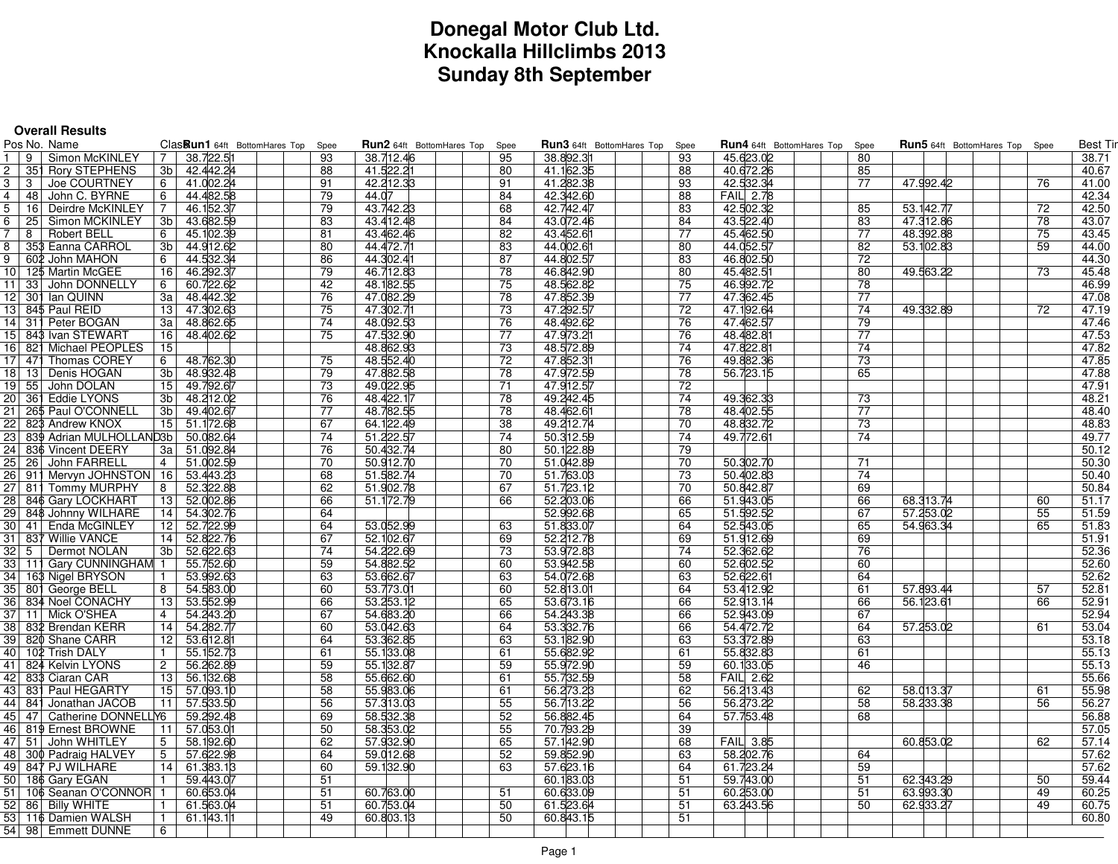# **Donegal Motor Club Ltd. Knockalla Hillclimbs 2013Sunday 8th September**

|                | <b>Overall Results</b>                  |                               |          |                           |          |                                  |          |                                  |      |                                       |    |                 |
|----------------|-----------------------------------------|-------------------------------|----------|---------------------------|----------|----------------------------------|----------|----------------------------------|------|---------------------------------------|----|-----------------|
|                | Pos No. Name                            | ClasRun1 64ft BottomHares Top | Spee     | Run2 64ft BottomHares Top | Spee     | <b>Run3</b> 64ft BottomHares Top | Spee     | <b>Run4</b> 64ft BottomHares Top | Spee | <b>Run5</b> 64ft BottomHares Top Spee |    | <b>Best Tir</b> |
|                | 19<br>Simon McKINLEY                    | 38.722.51<br>$7^{\circ}$      | 93       | 38.712.46                 | 95       | 38.892.31                        | 93       | 45.623.02                        | 80   |                                       |    | 38.71           |
| $\overline{2}$ | 351 Rory STEPHENS                       | 3b 42.442.24                  | 88       | 41.522.21                 | 80       | 41.162.35                        | 88       | 40.672.26                        | 85   |                                       |    | 40.67           |
| 3              | Joe COURTNEY<br>3                       | 41.002.24<br>6                | 91       | 42.212.33                 | 91       | 41.282.38                        | 93       | 42.532.34                        | 77   | 47.992.42                             | 76 | 41.00           |
| 4              | 48 John C. BYRNE                        | 6<br>44.482.58                | 79       | 44.07                     | 84       | 42.342.60                        | 88       | <b>FAIL 2.78</b>                 |      |                                       |    | 42.34           |
|                | 5   16  Deirdre McKINLEY                | 46.152.37<br><b>7</b>         | 79       | 43.742.23                 | 68       | 42.742.47                        | 83       | 42.502.32                        | 85   | 53.142.77                             | 72 | 42.50           |
| 6              | 25   Simon MCKINLEY                     | 43.682.59<br>3b               | 83       | 43.412.48                 | 84       | 43.072.46                        | 84       | 43.522.40                        | 83   | 47.312.86                             | 78 | 43.07           |
| $\overline{7}$ | 8   Robert BELL                         | 45.102.39<br>6                | 81       | 43.462.46                 | 82       | 43.452.61                        | 77       | 45.462.50                        | 77   | 48.392.88                             | 75 | 43.45           |
|                | 8   35\$ Eanna CARROL                   | 3b 44.912.62                  | 80       | 44.472.71                 | 83       | 44.002.61                        | 80       | 44.052.57                        | 82   | 53.102.83                             | 59 | 44.00           |
|                | 9 S 602 John MAHON                      | 44.532.34<br>6                | 86       | 44.302.41                 | 87       | 44.802.57                        | 83       | 46.802.50                        | 72   |                                       |    | 44.30           |
|                | 10 125 Martin McGEE                     | 46.292.37<br>16               | 79       | 46.712.83                 | 78       | 46.842.90                        | 80       | 45.482.51                        | 80   | 49.563.22                             | 73 | 45.48           |
|                | 11 33 John DONNELLY                     | 6<br>60.722.62                | 42       | 48.182.55                 | 75       | 48.562.82                        | 75       | 46.992.72                        | 78   |                                       |    | 46.99           |
|                | 12 301 Ian QUINN                        | 3a 48.442.32                  | 76       | 47.082.29                 | 78       | 47.852.39                        | 77       | 47.362.45                        | 77   |                                       |    | 47.08           |
|                | 13 845 Paul REID                        | 13 47.302.63                  | 75       | 47.302.71                 | 73       | 47.292.57                        | 72       | 47.192.64                        | 74   | 49.332.89                             | 72 | 47.19           |
|                | 14 311 Peter BOGAN                      | 3al<br>48.862.65              | 74       | 48.092.53                 | 76       | 48.492.62                        | 76       | 47.462.57                        | 79   |                                       |    | 47.46           |
|                | 15 843 Ivan STEWART                     | 16 48.402.62                  | 75       | 47.532.90                 | 77       | 47.973.21                        | 76       | 48.482.81                        | 77   |                                       |    | 47.53           |
|                |                                         |                               |          |                           | 73       |                                  | 74       |                                  | 74   |                                       |    |                 |
|                | 16 821 Michael PEOPLES                  | 15<br>48.762.30<br>6          | 75       | 48.862.93<br>48.552.40    | 72       | 48.572.89<br>47.852.31           | 76       | 47.822.81<br>49.882.36           | 73   |                                       |    | 47.82<br>47.85  |
|                | 17 471 Thomas COREY                     |                               |          |                           |          |                                  |          |                                  |      |                                       |    |                 |
|                | 18   13   Denis HOGAN                   | 48.932.48<br>3b               | 79<br>73 | 47.882.58                 | 78<br>71 | 47.972.59                        | 78       | 56.723.15                        | 65   |                                       |    | 47.88           |
|                | 19 55 John DOLAN                        | 15 49.792.67<br>3b l          | 76       | 49.022.95                 | 78       | 47.912.57                        | 72<br>74 |                                  | 73   |                                       |    | 47.91           |
|                | 20 361 Eddie LYONS                      | 48.212.02<br>49.402.67        |          | 48.422.17                 |          | 49.242.45                        |          | 49.362.33                        |      |                                       |    | 48.21           |
|                | 21   26\$ Paul O'CONNELL                | 3b                            | 77       | 48.782.55                 | 78       | 48.462.61                        | 78<br>70 | 48.402.55                        | 77   |                                       |    | 48.40           |
|                | 22 823 Andrew KNOX                      | 15 51.172.68                  | 67       | 64.122.49                 | 38       | 49.212.74                        |          | 48.832.72                        | 73   |                                       |    | 48.83           |
|                | 23 839 Adrian MULHOLLAND3b   50.082.64  |                               | 74       | 51.222.57                 | 74       | 50.312.59                        | 74       | 49.772.61                        | 74   |                                       |    | 49.77           |
|                | 24 836 Vincent DEERY                    | 3a 51.092.84                  | 76       | 50.432.74                 | 80       | 50.122.89                        | 79       |                                  |      |                                       |    | 50.12           |
|                | 25   26   John FARRELL                  | 4   51.002.59                 | 70       | 50.912.70                 | 70       | 51.042.89                        | 70       | 50.302.70                        | 71   |                                       |    | 50.30           |
|                | 26 911 Mervyn JOHNSTON   16   53.443.23 |                               | 68       | 51.582.74                 | 70       | 51.763.03                        | 73       | 50.402.83                        | 74   |                                       |    | 50.40           |
|                | 27 811 Tommy MURPHY                     | 52.322.88<br>8                | 62       | 51.902.78                 | 67       | 51.723.12                        | 70       | 50.842.87                        | 69   |                                       |    | 50.84           |
|                | 28 846 Gary LOCKHART                    | 13 52.002.86                  | 66       | 51.172.79                 | 66       | 52.203.06                        | 66       | 51.943.05                        | 66   | 68.313.74                             | 60 | 51.17           |
|                | 29 848 Johnny WILHARE                   | 14 54.302.76                  | 64       |                           |          | 52.992.68                        | 65       | 51.592.52                        | 67   | 57.253.02                             | 55 | 51.59           |
|                | 30   41   Enda McGINLEY                 | 52.722.99<br>12               | 64       | 53.052.99                 | 63       | 51.833.07                        | 64       | 52.543.05                        | 65   | 54.963.34                             | 65 | 51.83           |
|                | 31   837 Willie VANCE                   | 14 52.822.76                  | 67       | 52.102.67                 | 69       | 52.212.78                        | 69       | 51.912.69                        | 69   |                                       |    | 51.91           |
|                | 32   5   Dermot NOLAN                   | 52.622.63<br>3b L             | 74       | 54.222.69                 | 73       | 53.972.83                        | 74       | 52.362.62                        | 76   |                                       |    | 52.36           |
|                | 33   111 Gary CUNNINGHAM 1              | 55.752.60                     | 59       | 54.882.52                 | 60       | 53.942.58                        | 60       | 52.602.52                        | 60   |                                       |    | 52.60           |
|                | 34   163 Nigel BRYSON                   | 53.992.63<br>$\mathbf{1}$     | 63       | 53.662.67                 | 63       | 54.072.68                        | 63       | 52.622.61                        | 64   |                                       |    | 52.62           |
|                | 35 801 George BELL                      | 8<br>54.583.00                | 60       | 53.773.01                 | 60       | 52.813.01                        | 64       | 53.412.92                        | 61   | 57.893.44                             | 57 | 52.81           |
|                | 36 834 Noel CONACHY                     | 53.552.99<br>13 <sup>1</sup>  | 66       | 53.253.12                 | 65       | 53.673.16                        | 66       | 52.913.14                        | 66   | 56.123.61                             | 66 | 52.91           |
|                | 37   11   Mick O'SHEA                   | 4 <sup>1</sup><br>54.243.20   | 67       | 54.683.20                 | 66       | 54.243.38                        | 66       | 52.943.09                        | 67   |                                       |    | 52.94           |
|                | 38  832 Brendan KERR                    | 14 54.282.77                  | 60       | 53.042.63                 | 64       | 53.332.76                        | 66       | 54.472.72                        | 64   | 57.253.02                             | 61 | 53.04           |
|                | 39 820 Shane CARR                       | 12<br>53.612.81               | 64       | 53.362.85                 | 63       | 53.182.90                        | 63       | 53.372.89                        | 63   |                                       |    | 53.18           |
|                | 40   102 Trish DALY                     | 55.152.73<br>$\mathbf{1}$     | 61       | 55.133.08                 | 61       | 55.682.92                        | 61       | 55.832.83                        | 61   |                                       |    | 55.13           |
|                | 41 824 Kelvin LYONS                     | 2 <sup>1</sup><br>56.262.89   | 59       | 55.132.87                 | 59       | 55.972.90                        | 59       | 60.133.05                        | 46   |                                       |    | 55.13           |
|                | 42   833 Ciaran CAR                     | 13<br>56.132.68               | 58       | 55.662.60                 | 61       | 55.732.59                        | 58       | <b>FAIL 2.62</b>                 |      |                                       |    | 55.66           |
|                | 43 831 Paul HEGARTY                     | 15 57.093.10                  | 58       | 55.983.06                 | 61       | 56.273.23                        | 62       | 56.213.43                        | 62   | 58.013.37                             | 61 | 55.98           |
|                | 44   841 Jonathan JACOB                 | 11 57.533.50                  | 56       | 57.313.03                 | 55       | 56.713.22                        | 56       | 56.273.22                        | 58   | 58.233.38                             | 56 | 56.27           |
|                | 45   47   Catherine DONNELLY6           | 59.292.48                     | 69       | 58.532.38                 | 52       | 56.882.45                        | 64       | 57.753.48                        | 68   |                                       |    | 56.88           |
|                | 46 819 Ernest BROWNE                    | 11 57.053.01                  | 50       | 58.353.02                 | 55       | 70.793.29                        | 39       |                                  |      |                                       |    | 57.05           |
|                | 47  51  John WHITLEY                    | 58.192.60<br>5 <sup>1</sup>   | 62       | 57.932.90                 | 65       | 57.142.90                        | 68       | <b>FAIL 3.85</b>                 |      | 60.853.02                             | 62 | 57.14           |
|                | 48 300 Padraig HALVEY                   | 5 <sup>1</sup><br>57.622.98   | 64       | 59.012.68                 | 52       | 59.852.90                        | 63       | 58.202.76                        | 64   |                                       |    | 57.62           |
|                | 49  847 PJ WILHARE                      | 14 61.383.13                  | 60       | 59.132.90                 | 63       | 57.623.16                        | 64       | 61.723.24                        | 59   |                                       |    | 57.62           |
|                | 50   186 Gary EGAN                      | $\mathbf{1}$<br>59.443.07     | 51       |                           |          | 60.183.03                        | 51       | 59.743.00                        | 51   | 62.343.29                             | 50 | 59.44           |
|                | 51   106 Seanan O'CONNOR   1            | 60.653.04                     | 51       | 60.763.00                 | 51       | 60.633.09                        | 51       | 60.253.00                        | 51   | 63.993.30                             | 49 | 60.25           |
|                | 52   86   Billy WHITE                   | 61.563.04<br>$\mathbf{1}$     | 51       | 60.753.04                 | 50       | 61.523.64                        | 51       | 63.243.56                        | 50   | 62.933.27                             | 49 | 60.75           |
|                | 53   116 Damien WALSH                   | $\mathbf{1}$<br>61.143.11     | 49       | 60.803.13                 | 50       | 60.843.15                        | 51       |                                  |      |                                       |    | 60.80           |
|                | 54   98   Emmett DUNNE                  | 6                             |          |                           |          |                                  |          |                                  |      |                                       |    |                 |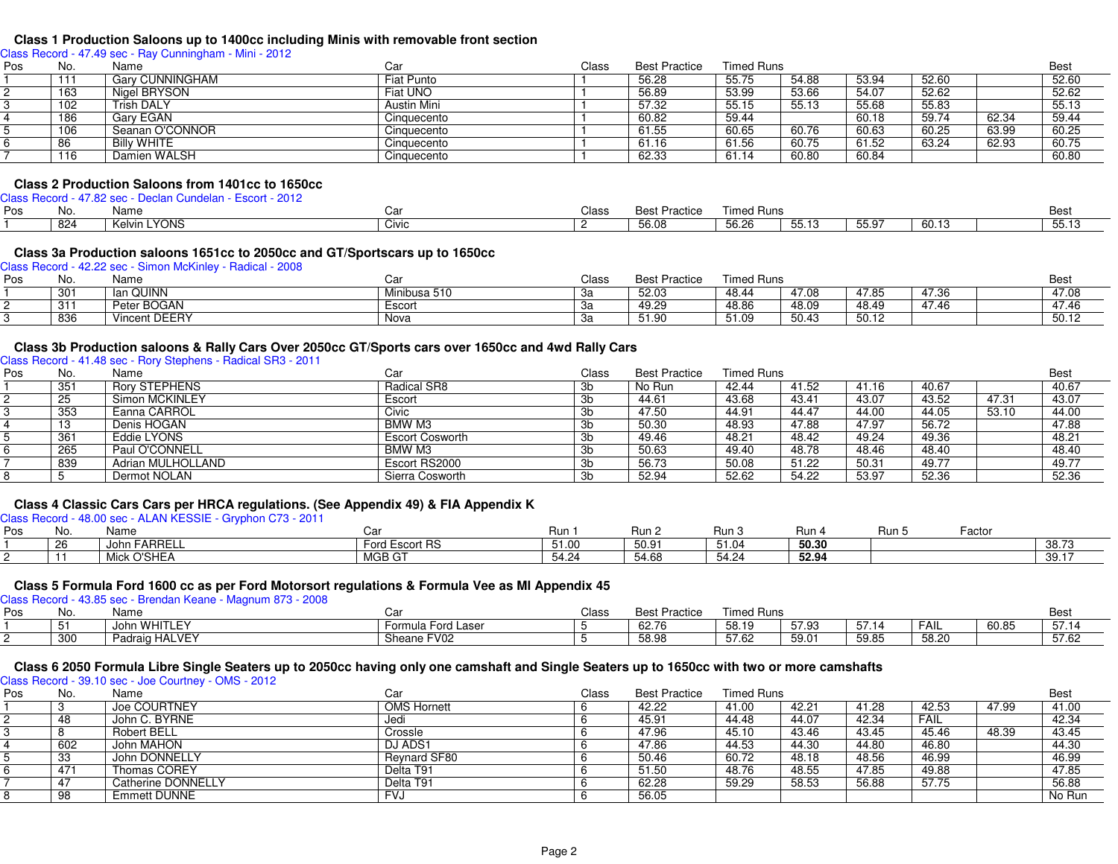#### **Class 1 Production Saloons up to 1400cc including Minis with removable front section**

Class Record - 47.49 sec - Ray Cunningham - Mini - 2012

| Pos | No. | Name               | Car         | Class | <b>Best Practice</b> | <b>Timed Runs</b> |       |       |       |       | <b>Best</b> |
|-----|-----|--------------------|-------------|-------|----------------------|-------------------|-------|-------|-------|-------|-------------|
|     | 111 | Gary CUNNINGHAM    | Fiat Punto  |       | 56.28                | 55.75             | 54.88 | 53.94 | 52.60 |       | 52.60       |
|     | 163 | Nigel BRYSON       | Fiat UNO    |       | 56.89                | 53.99             | 53.66 | 54.07 | 52.62 |       | 52.62       |
|     | 102 | Trish DALY         | Austin Mini |       | 57.32                | 55.15             | 55.13 | 55.68 | 55.83 |       | 55.13       |
|     | 186 | Garv EGAN          | Cinquecento |       | 60.82                | 59.44             |       | 60.18 | 59.74 | 62.34 | 59.44       |
|     | 106 | Seanan O'CONNOR    | Cinquecento |       | 61.55                | 60.65             | 60.76 | 60.63 | 60.25 | 63.99 | 60.25       |
|     | 86  | <b>Billy WHITE</b> | Cinquecento |       | 61.16                | 61.56             | 60.75 | 61.52 | 63.24 | 62.93 | 60.75       |
|     | 116 | Damien WALSH       | Cinquecento |       | 62.33                | 61.14             | 60.80 | 60.84 |       |       | 60.80       |

#### **Class 2 Production Saloons from 1401cc to 1650cc**

Class Record - 47.82 sec - Declan Cundelan - Escort - 2012

| Pos | No. | Name                         | י ה'<br>Udi | Class | <sup>D</sup> ractice<br>Best | <sup>r</sup> imed Runs |                 |       |         | Best             |
|-----|-----|------------------------------|-------------|-------|------------------------------|------------------------|-----------------|-------|---------|------------------|
|     | 824 | <b>YONS</b><br>. .<br>Kelvin | Civic       |       | 56.08                        | $F^{\wedge}$<br>56.Z6  | F F 40<br>55.13 | 55.97 | $-60.1$ | $    -$<br>55.13 |

## **Class 3a Production saloons 1651cc to 2050cc and GT/Sportscars up to 1650cc** Class Record - 42.22 sec - Simon McKinley - Radical - 2008

| Pos | No. | Name                 | Caı          | Class     | <b>Best Practice</b> | <b>Timed Runs</b> |       |       |       | Best  |
|-----|-----|----------------------|--------------|-----------|----------------------|-------------------|-------|-------|-------|-------|
|     | 301 | an QUINN<br>- - 1    | Minibusa 510 | υa        | 52.03                | 48.44             | 47.08 | 47.85 | 47.36 | 47.08 |
|     | 311 | Peter BOGAN          | Escort       | <b>vu</b> | 49.29                | 48.86             | 48.09 | 48.49 | 47.46 | 47.46 |
|     | 836 | <b>Vincent DEERY</b> | Nova         |           | 51.90                | 51.09             | 50.43 | 50.12 |       | 50.12 |

#### **Class 3b Production saloons & Rally Cars Over 2050cc GT/Sports cars over 1650cc and 4wd Rally Cars**

Class Record - 41.48 sec - Rory Stephens - Radical SR3 - 2011

| 351<br><b>Rory STEPHENS</b><br>Radical SR8<br>No Run<br>41.52<br>40.67<br>42.44<br>Зb<br>41.16<br>Simon MCKINLEY<br>43.68<br>43.52<br>25<br>47.31<br>43.41<br>43.07<br>44.61<br>Escort<br>3b<br>Eanna CARROL<br>353<br>Civic<br>53.10<br>44.91<br>44.47<br>47.50<br>44.05<br>44.00<br>-3b | <b>Best</b>             | <b>Timed Runs</b> | <b>Best Practice</b> | Class | Car    | Name        | No. | Pos |
|-------------------------------------------------------------------------------------------------------------------------------------------------------------------------------------------------------------------------------------------------------------------------------------------|-------------------------|-------------------|----------------------|-------|--------|-------------|-----|-----|
|                                                                                                                                                                                                                                                                                           | 40.67                   |                   |                      |       |        |             |     |     |
|                                                                                                                                                                                                                                                                                           | 43.07                   |                   |                      |       |        |             |     |     |
|                                                                                                                                                                                                                                                                                           | 44.00                   |                   |                      |       |        |             |     |     |
|                                                                                                                                                                                                                                                                                           | 47.88<br>56.72<br>47.97 | 47.88<br>48.93    | 50.30                | 3b    | BMW M3 | Denis HOGAN | 13  |     |
| 361<br>Eddie LYONS<br>49.36<br>48.21<br>48.42<br>49.24<br><b>Escort Cosworth</b><br>49.46<br>-3b                                                                                                                                                                                          | 48.21                   |                   |                      |       |        |             |     |     |
| 265<br>Paul O'CONNELL<br>48.78<br>BMW M3<br>50.63<br>49.40<br>48.40<br>48.46<br>3b                                                                                                                                                                                                        | 48.40                   |                   |                      |       |        |             |     |     |
| 839<br>Adrian MULHOLLAND<br>Escort RS2000<br>49.77<br>50.08<br>51.22<br>56.73<br>50.31<br>3b                                                                                                                                                                                              | 49.77                   |                   |                      |       |        |             |     |     |
| 52.36<br>52.62<br>Dermot NOLAN<br>54.22<br>53.97<br>52.94<br>Sierra Cosworth<br>Зb                                                                                                                                                                                                        | 52.36                   |                   |                      |       |        |             |     |     |

#### **Class 4 Classic Cars Cars per HRCA regulations. (See Appendix 49) & FIA Appendix K**

Class Record - 48.00 sec - ALAN KESSIE - Gryphon C73 - 2011

| Pos | No. | Name                      |                | Run   | Run 2 | Run 3          | Run   | : Run | Factor |       |
|-----|-----|---------------------------|----------------|-------|-------|----------------|-------|-------|--------|-------|
|     | 26  | <b>FARRELL</b><br>John Fi | Ford Escort RS | 51.00 | 50.91 | ້ 4 ຄ<br>ט ו ט | 50.30 |       |        | 38.73 |
|     | . . | : O'SHEA                  | MGBGT          | 54.24 | 54.68 | 54.24          | 52.94 |       |        | 39.17 |

# **Class 5 Formula Ford 1600 cc as per Ford Motorsort regulations & Formula Vee as MI Appendix 45** Class Record - 43.85 sec - Brendan Keane - Magnum 873 - 2008

| Pos | No. | Name           | $\cdot$<br>Uα      | Class | <b>Best Practice</b> | <b>Timed Runs</b> |       |       |       |       | Best             |
|-----|-----|----------------|--------------------|-------|----------------------|-------------------|-------|-------|-------|-------|------------------|
|     |     | John WHITLEY   | Formula Ford Laser |       | 62.76                | 58.19             | 57.93 | 57.14 | FAII  | 60.85 | $-7.4$<br>- 57.1 |
|     | 300 | Padraig HALVEY | Sheane FV02        |       | 58.98                | 57.62             | 59.01 | 59.85 | 58.20 |       | 57.62            |

#### **Class 6 2050 Formula Libre Single Seaters up to 2050cc having only one camshaft and Single Seaters up to 1650cc with two or more camshafts**

Class Record - 39.10 sec - Joe Courtney - OMS - 2012

| Pos | No. | Name               | Car                | Class | <b>Best Practice</b> | <b>Timed Runs</b> |       |       |       |       | <b>Best</b> |
|-----|-----|--------------------|--------------------|-------|----------------------|-------------------|-------|-------|-------|-------|-------------|
|     |     | Joe COURTNEY       | <b>OMS Hornett</b> |       | 42.22                | 41.00             | 42.21 | 41.28 | 42.53 | 47.99 | 41.00       |
|     | 48  | John C. BYRNE      | Jedi               |       | 45.91                | 44.48             | 44.07 | 42.34 | FAIL  |       | 42.34       |
|     |     | Robert BELL        | Crossle            |       | 47.96                | 45.10             | 43.46 | 43.45 | 45.46 | 48.39 | 43.45       |
|     | 602 | John MAHON         | DJ ADS1            |       | 47.86                | 44.53             | 44.30 | 44.80 | 46.80 |       | 44.30       |
|     | 33  | John DONNELLY      | Reynard SF80       |       | 50.46                | 60.72             | 48.18 | 48.56 | 46.99 |       | 46.99       |
|     | 471 | Thomas COREY       | Delta T91          |       | 51.50                | 48.76             | 48.55 | 47.85 | 49.88 |       | 47.85       |
|     | 47  | Catherine DONNELLY | Delta T91          |       | 62.28                | 59.29             | 58.53 | 56.88 | 57.75 |       | 56.88       |
|     | 98  | Emmett DUNNE       | <b>FVJ</b>         |       | 56.05                |                   |       |       |       |       | No Run      |
|     |     |                    |                    |       |                      |                   |       |       |       |       |             |